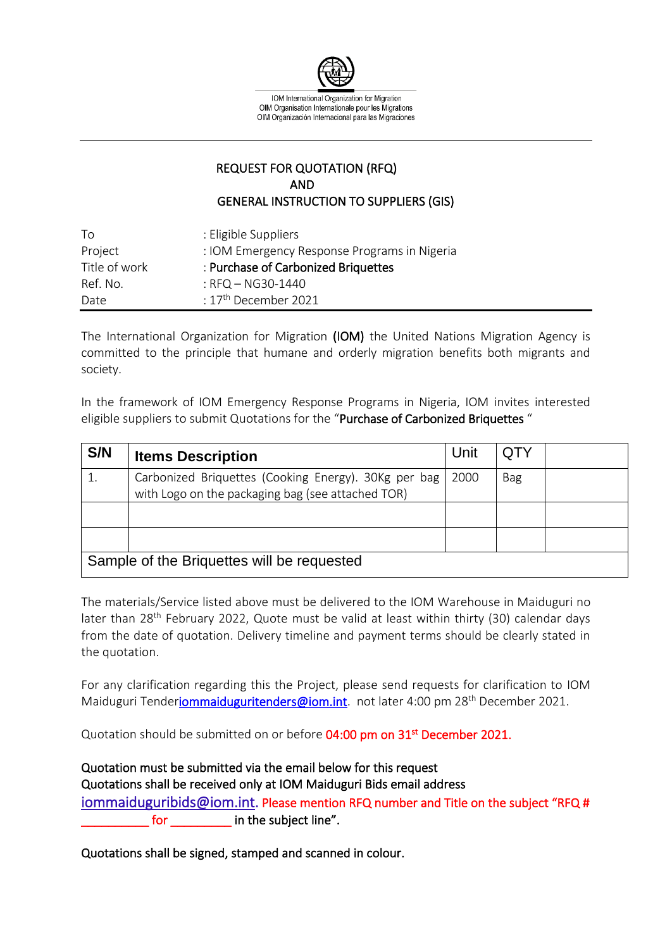

IOM International Organization for Migration OIM Organisation Internationale pour les Migrations OIM Organización Internacional para las Migraciones

## REQUEST FOR QUOTATION (RFQ) AND GENERAL INSTRUCTION TO SUPPLIERS (GIS)

| Τo            | : Eligible Suppliers                         |
|---------------|----------------------------------------------|
| Project       | : IOM Emergency Response Programs in Nigeria |
| Title of work | : Purchase of Carbonized Briquettes          |
| Ref. No.      | : $RFA - NG30-1440$                          |
| Date          | : $17th$ December 2021                       |

The International Organization for Migration (IOM) the United Nations Migration Agency is committed to the principle that humane and orderly migration benefits both migrants and society.

In the framework of IOM Emergency Response Programs in Nigeria, IOM invites interested eligible suppliers to submit Quotations for the "Purchase of Carbonized Briquettes"

| S/N                                        | <b>Items Description</b>                                                                                  | Unit | Q I Y |  |  |
|--------------------------------------------|-----------------------------------------------------------------------------------------------------------|------|-------|--|--|
|                                            | Carbonized Briquettes (Cooking Energy). 30Kg per bag<br>with Logo on the packaging bag (see attached TOR) | 2000 | Bag   |  |  |
|                                            |                                                                                                           |      |       |  |  |
|                                            |                                                                                                           |      |       |  |  |
| Sample of the Briquettes will be requested |                                                                                                           |      |       |  |  |

The materials/Service listed above must be delivered to the IOM Warehouse in Maiduguri no later than 28<sup>th</sup> February 2022, Quote must be valid at least within thirty (30) calendar days from the date of quotation. Delivery timeline and payment terms should be clearly stated in the quotation.

For any clarification regarding this the Project, please send requests for clarification to IOM Maiduguri Tende[riommaiduguritenders@iom.int.](mailto:iommaiduguritenders@iom.int) not later 4:00 pm 28<sup>th</sup> December 2021.

Quotation should be submitted on or before 04:00 pm on 31<sup>st</sup> December 2021.

Quotation must be submitted via the email below for this request Quotations shall be received only at IOM Maiduguri Bids email address [iommaiduguribids@iom.int.](mailto:iommaiduguribids@iom.int) Please mention RFQ number and Title on the subject "RFQ # **Example 1** in the subject line".

Quotations shall be signed, stamped and scanned in colour.